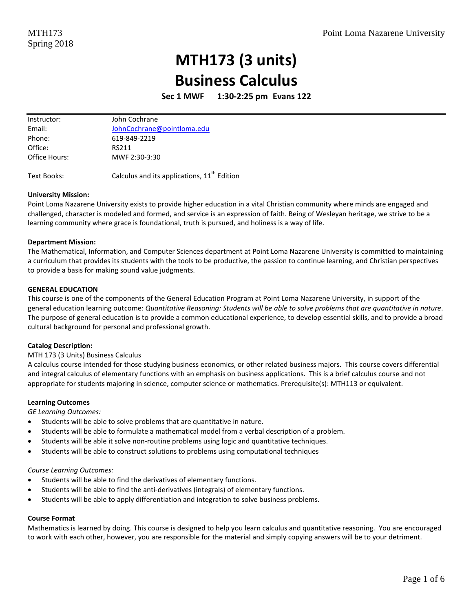# **MTH173 (3 units) Business Calculus**

**Sec 1 MWF 1:30-2:25 pm Evans 122**

| John Cochrane              |
|----------------------------|
| JohnCochrane@pointloma.edu |
| 619-849-2219               |
| RS211                      |
| MWF 2:30-3:30              |
|                            |

Text Books:  $\qquad \qquad$  Calculus and its applications,  $11^{\text{th}}$  Edition

#### **University Mission:**

Point Loma Nazarene University exists to provide higher education in a vital Christian community where minds are engaged and challenged, character is modeled and formed, and service is an expression of faith. Being of Wesleyan heritage, we strive to be a learning community where grace is foundational, truth is pursued, and holiness is a way of life.

#### **Department Mission:**

The Mathematical, Information, and Computer Sciences department at Point Loma Nazarene University is committed to maintaining a curriculum that provides its students with the tools to be productive, the passion to continue learning, and Christian perspectives to provide a basis for making sound value judgments.

#### **GENERAL EDUCATION**

This course is one of the components of the General Education Program at Point Loma Nazarene University, in support of the general education learning outcome: *Quantitative Reasoning: Students will be able to solve problems that are quantitative in nature*. The purpose of general education is to provide a common educational experience, to develop essential skills, and to provide a broad cultural background for personal and professional growth.

#### **Catalog Description:**

#### MTH 173 (3 Units) Business Calculus

A calculus course intended for those studying business economics, or other related business majors. This course covers differential and integral calculus of elementary functions with an emphasis on business applications. This is a brief calculus course and not appropriate for students majoring in science, computer science or mathematics. Prerequisite(s): MTH113 or equivalent.

#### **Learning Outcomes**

*GE Learning Outcomes:* 

- Students will be able to solve problems that are quantitative in nature.
- Students will be able to formulate a mathematical model from a verbal description of a problem.
- Students will be able it solve non-routine problems using logic and quantitative techniques.
- Students will be able to construct solutions to problems using computational techniques

#### *Course Learning Outcomes:*

- Students will be able to find the derivatives of elementary functions.
- Students will be able to find the anti-derivatives (integrals) of elementary functions.
- Students will be able to apply differentiation and integration to solve business problems.

#### **Course Format**

Mathematics is learned by doing. This course is designed to help you learn calculus and quantitative reasoning. You are encouraged to work with each other, however, you are responsible for the material and simply copying answers will be to your detriment.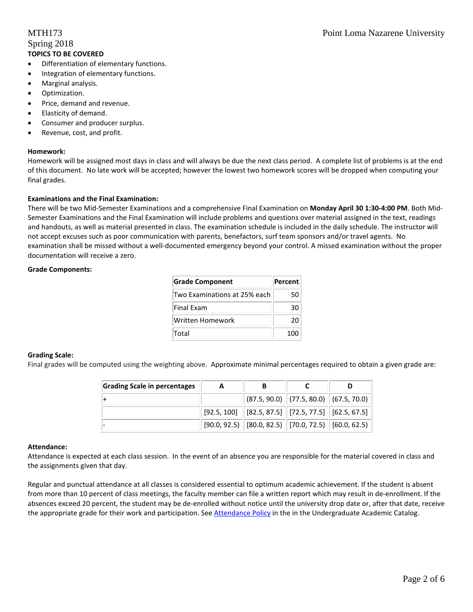# Spring 2018 **TOPICS TO BE COVERED**

- Differentiation of elementary functions.
- Integration of elementary functions.
- Marginal analysis.
- Optimization.
- Price, demand and revenue.
- Elasticity of demand.
- Consumer and producer surplus.
- Revenue, cost, and profit.

#### **Homework:**

Homework will be assigned most days in class and will always be due the next class period. A complete list of problems is at the end of this document. No late work will be accepted; however the lowest two homework scores will be dropped when computing your final grades.

### **Examinations and the Final Examination:**

There will be two Mid-Semester Examinations and a comprehensive Final Examination on **Monday April 30 1:30-4:00 PM**. Both Mid-Semester Examinations and the Final Examination will include problems and questions over material assigned in the text, readings and handouts, as well as material presented in class. The examination schedule is included in the daily schedule. The instructor will not accept excuses such as poor communication with parents, benefactors, surf team sponsors and/or travel agents. No examination shall be missed without a well-documented emergency beyond your control. A missed examination without the proper documentation will receive a zero.

#### **Grade Components:**

| <b>Grade Component</b>       | Percent |
|------------------------------|---------|
| Two Examinations at 25% each | 50      |
| Final Exam                   | 30      |
| Written Homework             | 20      |
| Total                        | 100     |

#### **Grading Scale:**

Final grades will be computed using the weighting above. Approximate minimal percentages required to obtain a given grade are:

| Grading Scale in percentages | A | В                                                                                   |  |
|------------------------------|---|-------------------------------------------------------------------------------------|--|
|                              |   | $\ $ (87.5, 90.0) $\ $ (77.5, 80.0) $\ $ (67.5, 70.0)                               |  |
|                              |   | $\mid$ [92.5, 100] $\mid$ [82.5, 87.5] $\mid$ [72.5, 77.5] $\mid$ [62.5, 67.5]      |  |
|                              |   | $\vert$ [90.0, 92.5) $\vert$ [80.0, 82.5) $\vert$ [70.0, 72.5) $\vert$ [60.0, 62.5) |  |

#### **Attendance:**

Attendance is expected at each class session. In the event of an absence you are responsible for the material covered in class and the assignments given that day.

Regular and punctual attendance at all classes is considered essential to optimum academic achievement. If the student is absent from more than 10 percent of class meetings, the faculty member can file a written report which may result in de-enrollment. If the absences exceed 20 percent, the student may be de-enrolled without notice until the university drop date or, after that date, receive the appropriate grade for their work and participation. See [Attendance Policy](https://catalog.pointloma.edu/content.php?catoid=28&navoid=1761#Class_Attendance) in the in the Undergraduate Academic Catalog.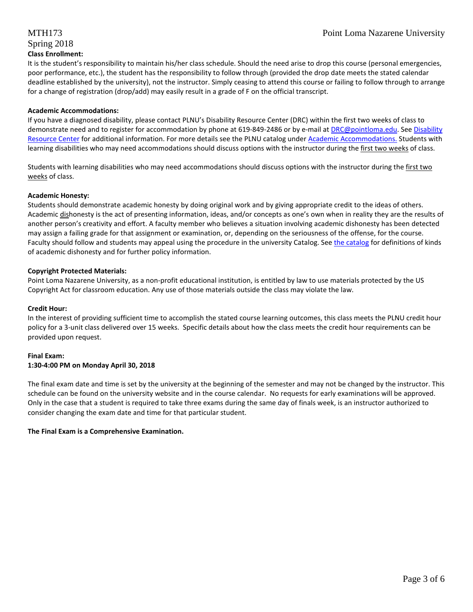# Spring 2018 **Class Enrollment:**

It is the student's responsibility to maintain his/her class schedule. Should the need arise to drop this course (personal emergencies, poor performance, etc.), the student has the responsibility to follow through (provided the drop date meets the stated calendar deadline established by the university), not the instructor. Simply ceasing to attend this course or failing to follow through to arrange for a change of registration (drop/add) may easily result in a grade of F on the official transcript.

# **Academic Accommodations:**

If you have a diagnosed disability, please contact PLNU's Disability Resource Center (DRC) within the first two weeks of class to demonstrate need and to register for accommodation by phone at 619-849-2486 or by e-mail a[t DRC@pointloma.edu.](mailto:DRC@pointloma.edu) See [Disability](http://www.pointloma.edu/experience/offices/administrative-offices/academic-advising-office/disability-resource-center)  [Resource Center](http://www.pointloma.edu/experience/offices/administrative-offices/academic-advising-office/disability-resource-center) for additional information. For more details see the PLNU catalog under [Academic Accommodations.](https://catalog.pointloma.edu/content.php?catoid=28&navoid=1761#Academic_Accommodations) Students with learning disabilities who may need accommodations should discuss options with the instructor during the first two weeks of class.

Students with learning disabilities who may need accommodations should discuss options with the instructor during the first two weeks of class.

# **Academic Honesty:**

Students should demonstrate academic honesty by doing original work and by giving appropriate credit to the ideas of others. Academic dishonesty is the act of presenting information, ideas, and/or concepts as one's own when in reality they are the results of another person's creativity and effort. A faculty member who believes a situation involving academic dishonesty has been detected may assign a failing grade for that assignment or examination, or, depending on the seriousness of the offense, for the course. Faculty should follow and students may appeal using the procedure in the university Catalog. Se[e the catalog](https://catalog.pointloma.edu/content.php?catoid=28&navoid=1761#Academic_Honesty) for definitions of kinds of academic dishonesty and for further policy information.

# **Copyright Protected Materials:**

Point Loma Nazarene University, as a non-profit educational institution, is entitled by law to use materials protected by the US Copyright Act for classroom education. Any use of those materials outside the class may violate the law.

# **Credit Hour:**

In the interest of providing sufficient time to accomplish the stated course learning outcomes, this class meets the PLNU credit hour policy for a 3-unit class delivered over 15 weeks. Specific details about how the class meets the credit hour requirements can be provided upon request.

# **Final Exam:**

# **1:30-4:00 PM on Monday April 30, 2018**

The final exam date and time is set by the university at the beginning of the semester and may not be changed by the instructor. This schedule can be found on the university website and in the course calendar. No requests for early examinations will be approved. Only in the case that a student is required to take three exams during the same day of finals week, is an instructor authorized to consider changing the exam date and time for that particular student.

# **The Final Exam is a Comprehensive Examination.**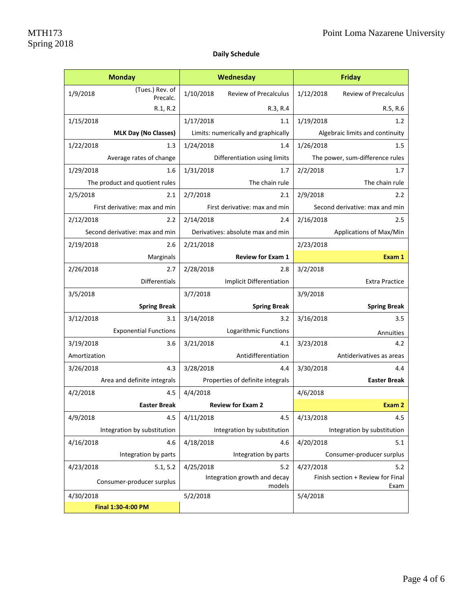# **Daily Schedule**

|              | <b>Monday</b>                  | Wednesday                              |                                   | Friday    |                                           |
|--------------|--------------------------------|----------------------------------------|-----------------------------------|-----------|-------------------------------------------|
| 1/9/2018     | (Tues.) Rev. of<br>Precalc.    | 1/10/2018                              | <b>Review of Precalculus</b>      | 1/12/2018 | <b>Review of Precalculus</b>              |
|              | R.1, R.2                       |                                        | R.3, R.4                          |           | R.5, R.6                                  |
| 1/15/2018    |                                | 1/17/2018                              | 1.1                               | 1/19/2018 | 1.2                                       |
|              | <b>MLK Day (No Classes)</b>    | Limits: numerically and graphically    |                                   |           | Algebraic limits and continuity           |
| 1/22/2018    | 1.3                            | 1/24/2018                              | 1.4                               | 1/26/2018 | 1.5                                       |
|              | Average rates of change        |                                        | Differentiation using limits      |           | The power, sum-difference rules           |
| 1/29/2018    | 1.6                            | 1/31/2018                              | 1.7                               | 2/2/2018  | 1.7                                       |
|              | The product and quotient rules |                                        | The chain rule                    |           | The chain rule                            |
| 2/5/2018     | 2.1                            | 2/7/2018                               | 2.1                               | 2/9/2018  | 2.2                                       |
|              | First derivative: max and min  |                                        | First derivative: max and min     |           | Second derivative: max and min            |
| 2/12/2018    | 2.2                            | 2/14/2018                              | 2.4                               | 2/16/2018 | 2.5                                       |
|              | Second derivative: max and min |                                        | Derivatives: absolute max and min |           | Applications of Max/Min                   |
| 2/19/2018    | 2.6                            | 2/21/2018                              |                                   | 2/23/2018 |                                           |
|              | Marginals                      |                                        | <b>Review for Exam 1</b>          |           | Exam 1                                    |
| 2/26/2018    | 2.7                            | 2/28/2018                              | 2.8                               | 3/2/2018  |                                           |
|              | <b>Differentials</b>           |                                        | <b>Implicit Differentiation</b>   |           | <b>Extra Practice</b>                     |
| 3/5/2018     |                                | 3/7/2018                               |                                   | 3/9/2018  |                                           |
|              | <b>Spring Break</b>            |                                        | <b>Spring Break</b>               |           | <b>Spring Break</b>                       |
| 3/12/2018    | 3.1                            | 3/14/2018                              | 3.2                               | 3/16/2018 | 3.5                                       |
|              | <b>Exponential Functions</b>   | Logarithmic Functions                  |                                   | Annuities |                                           |
| 3/19/2018    | 3.6                            | 3/21/2018                              | 4.1                               | 3/23/2018 | 4.2                                       |
| Amortization |                                | Antidifferentiation                    |                                   |           | Antiderivatives as areas                  |
| 3/26/2018    | 4.3                            | 3/28/2018                              | 4.4                               | 3/30/2018 | 4.4                                       |
|              | Area and definite integrals    | Properties of definite integrals       |                                   |           | <b>Easter Break</b>                       |
| 4/2/2018     | 4.5                            | 4/4/2018                               |                                   | 4/6/2018  |                                           |
|              | <b>Easter Break</b>            | <b>Review for Exam 2</b>               |                                   |           | Exam 2                                    |
| 4/9/2018     | 4.5                            | 4/11/2018                              | 4.5                               | 4/13/2018 | 4.5                                       |
|              | Integration by substitution    |                                        | Integration by substitution       |           | Integration by substitution               |
| 4/16/2018    | 4.6                            | 4/18/2018                              | 4.6                               | 4/20/2018 | 5.1                                       |
|              | Integration by parts           | Integration by parts                   |                                   |           | Consumer-producer surplus                 |
| 4/23/2018    | 5.1, 5.2                       | 4/25/2018                              | 5.2                               | 4/27/2018 | 5.2                                       |
|              | Consumer-producer surplus      | Integration growth and decay<br>models |                                   |           | Finish section + Review for Final<br>Exam |
| 4/30/2018    |                                | 5/2/2018                               |                                   | 5/4/2018  |                                           |
|              | Final 1:30-4:00 PM             |                                        |                                   |           |                                           |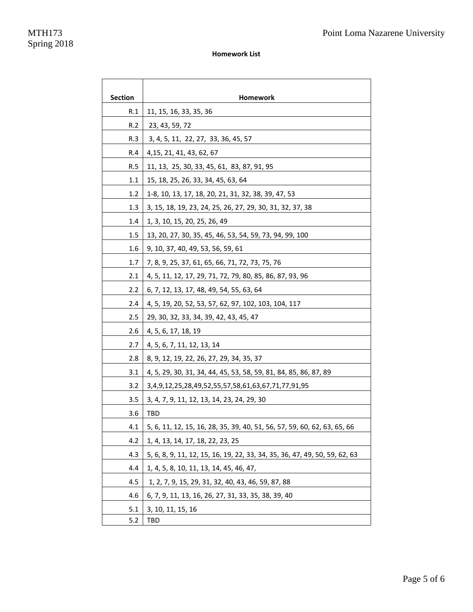### **Homework List**

| <b>Section</b> | Homework                                                                   |
|----------------|----------------------------------------------------------------------------|
| R.1            | 11, 15, 16, 33, 35, 36                                                     |
| R.2            | 23, 43, 59, 72                                                             |
| R.3            | 3, 4, 5, 11, 22, 27, 33, 36, 45, 57                                        |
| R.4            | 4, 15, 21, 41, 43, 62, 67                                                  |
| R.5            | 11, 13, 25, 30, 33, 45, 61, 83, 87, 91, 95                                 |
| 1.1            | 15, 18, 25, 26, 33, 34, 45, 63, 64                                         |
| 1.2            | 1-8, 10, 13, 17, 18, 20, 21, 31, 32, 38, 39, 47, 53                        |
| 1.3            | 3, 15, 18, 19, 23, 24, 25, 26, 27, 29, 30, 31, 32, 37, 38                  |
| 1.4            | 1, 3, 10, 15, 20, 25, 26, 49                                               |
| 1.5            | 13, 20, 27, 30, 35, 45, 46, 53, 54, 59, 73, 94, 99, 100                    |
| 1.6            | 9, 10, 37, 40, 49, 53, 56, 59, 61                                          |
| 1.7            | 7, 8, 9, 25, 37, 61, 65, 66, 71, 72, 73, 75, 76                            |
| 2.1            | 4, 5, 11, 12, 17, 29, 71, 72, 79, 80, 85, 86, 87, 93, 96                   |
| 2.2            | 6, 7, 12, 13, 17, 48, 49, 54, 55, 63, 64                                   |
| 2.4            | 4, 5, 19, 20, 52, 53, 57, 62, 97, 102, 103, 104, 117                       |
| 2.5            | 29, 30, 32, 33, 34, 39, 42, 43, 45, 47                                     |
| 2.6            | 4, 5, 6, 17, 18, 19                                                        |
| 2.7            | 4, 5, 6, 7, 11, 12, 13, 14                                                 |
| 2.8            | 8, 9, 12, 19, 22, 26, 27, 29, 34, 35, 37                                   |
| 3.1            | 4, 5, 29, 30, 31, 34, 44, 45, 53, 58, 59, 81, 84, 85, 86, 87, 89           |
| 3.2            | 3,4,9,12,25,28,49,52,55,57,58,61,63,67,71,77,91,95                         |
| 3.5            | 3, 4, 7, 9, 11, 12, 13, 14, 23, 24, 29, 30                                 |
| 3.6            | TBD                                                                        |
| 4.1            | 5, 6, 11, 12, 15, 16, 28, 35, 39, 40, 51, 56, 57, 59, 60, 62, 63, 65, 66   |
| 4.2            | 1, 4, 13, 14, 17, 18, 22, 23, 25                                           |
| 4.3            | 5, 6, 8, 9, 11, 12, 15, 16, 19, 22, 33, 34, 35, 36, 47, 49, 50, 59, 62, 63 |
| 4.4            | 1, 4, 5, 8, 10, 11, 13, 14, 45, 46, 47,                                    |
| 4.5            | 1, 2, 7, 9, 15, 29, 31, 32, 40, 43, 46, 59, 87, 88                         |
| 4.6            | 6, 7, 9, 11, 13, 16, 26, 27, 31, 33, 35, 38, 39, 40                        |
| 5.1            | 3, 10, 11, 15, 16                                                          |
| 5.2            | TBD                                                                        |